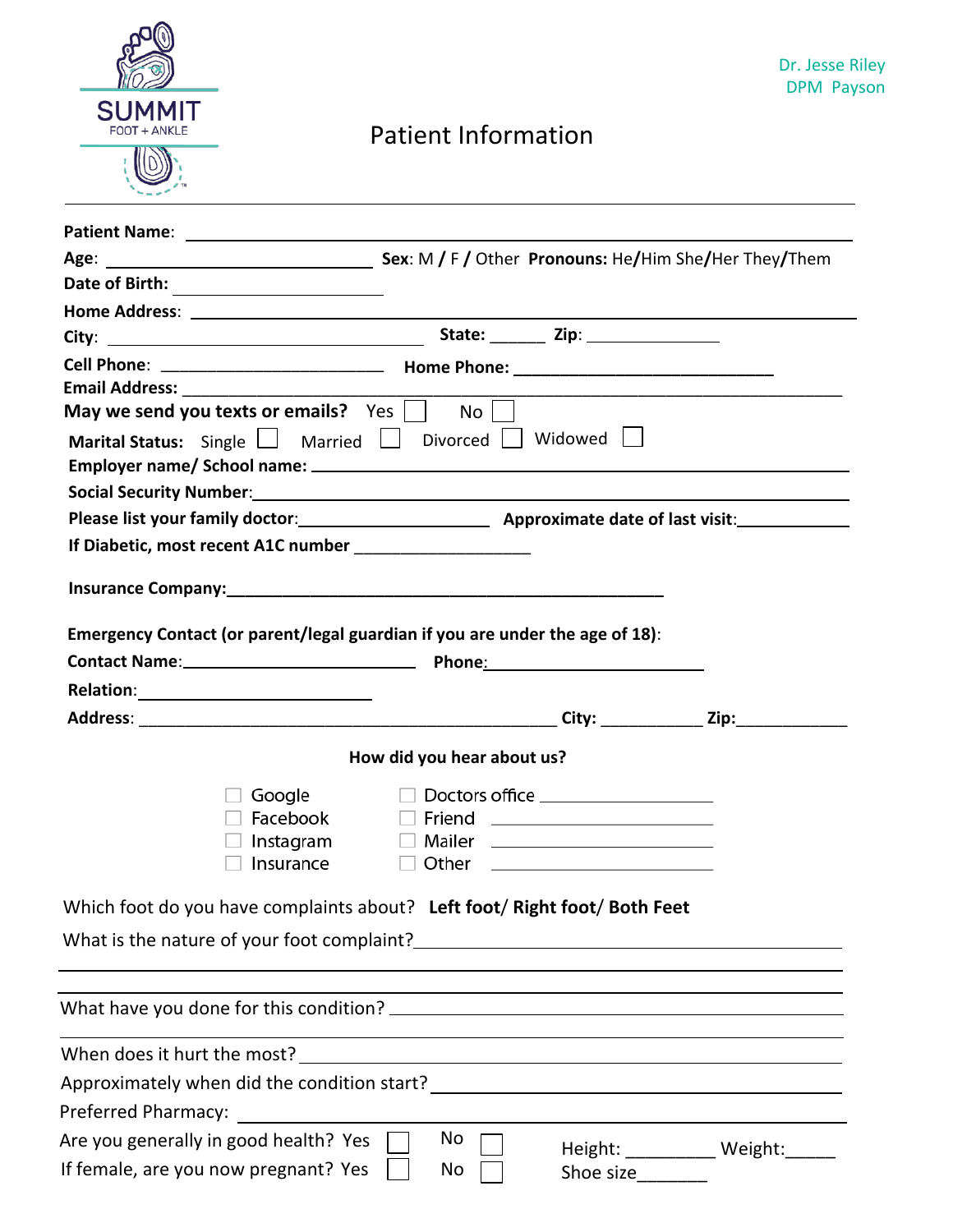

## Patient Information

| May we send you texts or emails? $\sqrt{Y \cos \frac{1}{1 - \cos \frac{1}{1}}\cos \frac{1}{1 - \cos \frac{1}{1}}\cos \frac{1}{1 - \cos \frac{1}{1 - \cos \frac{1}{1 - \cos \frac{1}{1 - \cos \frac{1}{1 - \cos \frac{1}{1 - \cos \frac{1}{1 - \cos \frac{1}{1 - \cos \frac{1}{1 - \cos \frac{1}{1 - \cos \frac{1}{1 - \cos \frac{1}{1 - \cos \frac{1}{1 - \cos \frac{1}{1 - \cos \frac{1}{1 - \cos \frac{1}{1 - \cos \$ | $No$                                                                            |                                                                                                                       |                                 |
|-------------------------------------------------------------------------------------------------------------------------------------------------------------------------------------------------------------------------------------------------------------------------------------------------------------------------------------------------------------------------------------------------------------------------|---------------------------------------------------------------------------------|-----------------------------------------------------------------------------------------------------------------------|---------------------------------|
| Marital Status: Single   Married   Divorced   Widowed                                                                                                                                                                                                                                                                                                                                                                   |                                                                                 |                                                                                                                       |                                 |
|                                                                                                                                                                                                                                                                                                                                                                                                                         |                                                                                 |                                                                                                                       |                                 |
|                                                                                                                                                                                                                                                                                                                                                                                                                         |                                                                                 |                                                                                                                       |                                 |
| Please list your family doctor: Approximate date of last visit: Approximate date of last visit:                                                                                                                                                                                                                                                                                                                         |                                                                                 |                                                                                                                       |                                 |
| If Diabetic, most recent A1C number ______________________                                                                                                                                                                                                                                                                                                                                                              |                                                                                 |                                                                                                                       |                                 |
|                                                                                                                                                                                                                                                                                                                                                                                                                         |                                                                                 |                                                                                                                       |                                 |
|                                                                                                                                                                                                                                                                                                                                                                                                                         |                                                                                 |                                                                                                                       |                                 |
| Emergency Contact (or parent/legal guardian if you are under the age of 18):                                                                                                                                                                                                                                                                                                                                            |                                                                                 |                                                                                                                       |                                 |
|                                                                                                                                                                                                                                                                                                                                                                                                                         |                                                                                 |                                                                                                                       |                                 |
|                                                                                                                                                                                                                                                                                                                                                                                                                         |                                                                                 |                                                                                                                       |                                 |
| Contact Name: 1990 March 2012 March 2014 March 2014 March 2014 March 2014 March 2014 March 2014 March 2014 March 2014 March 2014 March 2014 March 2014 March 2014 March 2014 March 2014 March 2014 March 2014 March 2014 March                                                                                                                                                                                          |                                                                                 |                                                                                                                       |                                 |
|                                                                                                                                                                                                                                                                                                                                                                                                                         |                                                                                 |                                                                                                                       |                                 |
|                                                                                                                                                                                                                                                                                                                                                                                                                         |                                                                                 |                                                                                                                       |                                 |
|                                                                                                                                                                                                                                                                                                                                                                                                                         | How did you hear about us?                                                      |                                                                                                                       |                                 |
| Google                                                                                                                                                                                                                                                                                                                                                                                                                  |                                                                                 | $\Box$ Doctors office ____________________                                                                            |                                 |
| Facebook                                                                                                                                                                                                                                                                                                                                                                                                                |                                                                                 | □ Friend ________________________                                                                                     |                                 |
| Instagram                                                                                                                                                                                                                                                                                                                                                                                                               |                                                                                 |                                                                                                                       |                                 |
| Insurance                                                                                                                                                                                                                                                                                                                                                                                                               | Other                                                                           | <u> 1989 - John Harry Harry Harry Harry Harry Harry Harry Harry Harry Harry Harry Harry Harry Harry Harry Harry H</u> |                                 |
| Which foot do you have complaints about? Left foot/ Right foot/ Both Feet                                                                                                                                                                                                                                                                                                                                               |                                                                                 |                                                                                                                       |                                 |
|                                                                                                                                                                                                                                                                                                                                                                                                                         |                                                                                 |                                                                                                                       |                                 |
| What is the nature of your foot complaint?<br><u> What is the nature of your foot complaint?</u>                                                                                                                                                                                                                                                                                                                        |                                                                                 |                                                                                                                       |                                 |
|                                                                                                                                                                                                                                                                                                                                                                                                                         |                                                                                 |                                                                                                                       |                                 |
|                                                                                                                                                                                                                                                                                                                                                                                                                         |                                                                                 |                                                                                                                       |                                 |
|                                                                                                                                                                                                                                                                                                                                                                                                                         | <u> 1989 - Johann John Stein, mars an deus Amerikaansk kommunister (* 1950)</u> |                                                                                                                       |                                 |
| When does it hurt the most?                                                                                                                                                                                                                                                                                                                                                                                             |                                                                                 |                                                                                                                       |                                 |
|                                                                                                                                                                                                                                                                                                                                                                                                                         |                                                                                 |                                                                                                                       |                                 |
| Preferred Pharmacy:                                                                                                                                                                                                                                                                                                                                                                                                     |                                                                                 |                                                                                                                       |                                 |
| Are you generally in good health? Yes<br>If female, are you now pregnant? Yes                                                                                                                                                                                                                                                                                                                                           | No<br>No                                                                        | Shoe size________                                                                                                     | Height: _________ Weight: _____ |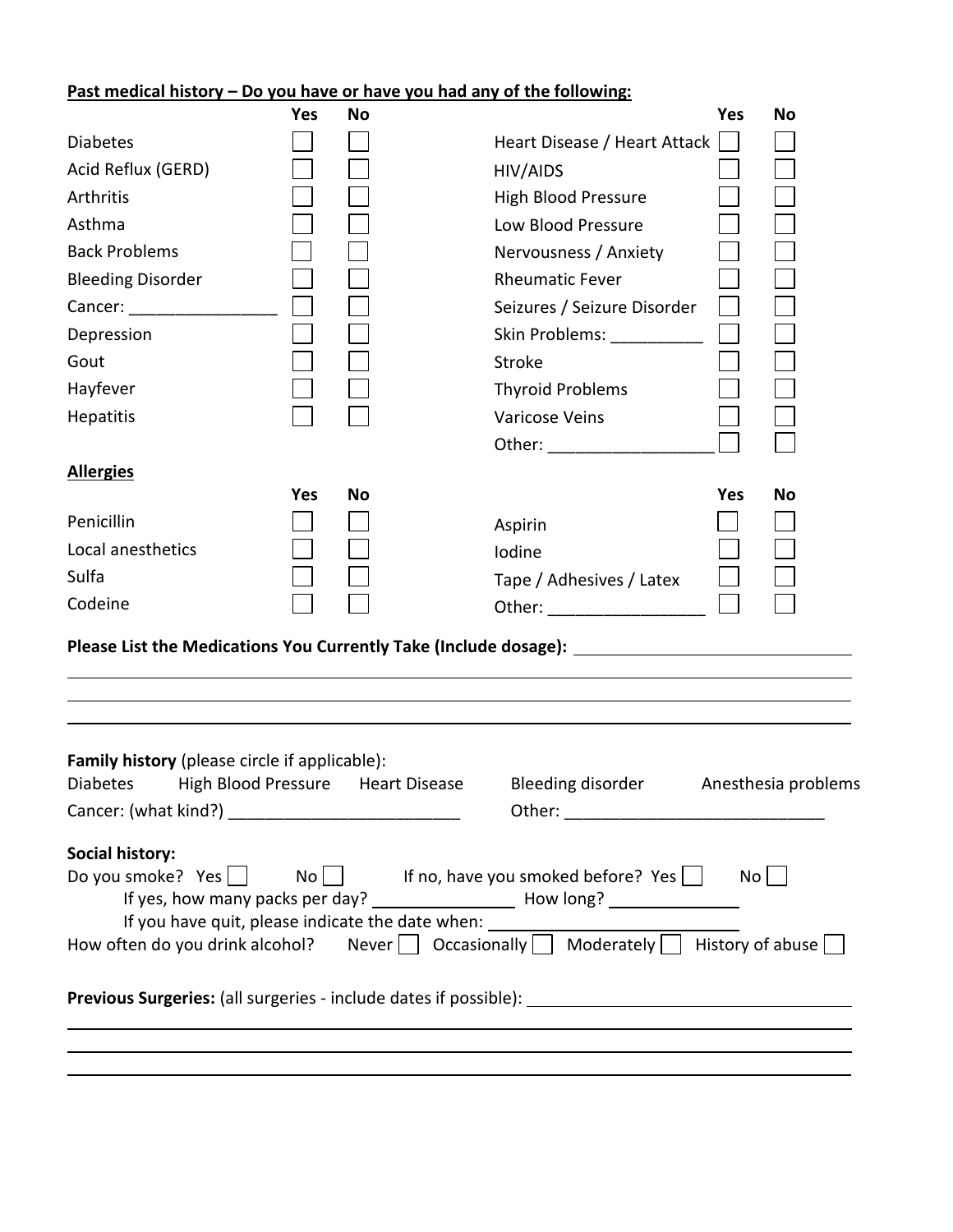## **Past medical history – Do you have or have you had any of the following:**

|                                                                                                      | <b>Yes</b> | No                                |                                                                                  | <b>Yes</b> | No                  |  |  |  |
|------------------------------------------------------------------------------------------------------|------------|-----------------------------------|----------------------------------------------------------------------------------|------------|---------------------|--|--|--|
| <b>Diabetes</b>                                                                                      |            |                                   | Heart Disease / Heart Attack                                                     |            |                     |  |  |  |
| Acid Reflux (GERD)                                                                                   |            |                                   | HIV/AIDS                                                                         |            |                     |  |  |  |
| Arthritis                                                                                            |            |                                   | <b>High Blood Pressure</b>                                                       |            |                     |  |  |  |
| Asthma                                                                                               |            |                                   | Low Blood Pressure                                                               |            |                     |  |  |  |
| <b>Back Problems</b>                                                                                 |            |                                   | Nervousness / Anxiety                                                            |            |                     |  |  |  |
| <b>Bleeding Disorder</b>                                                                             |            |                                   | <b>Rheumatic Fever</b>                                                           |            |                     |  |  |  |
|                                                                                                      |            |                                   | Seizures / Seizure Disorder                                                      |            |                     |  |  |  |
| Depression                                                                                           |            |                                   | Skin Problems: ___________                                                       |            |                     |  |  |  |
| Gout                                                                                                 |            |                                   | Stroke                                                                           |            |                     |  |  |  |
| Hayfever                                                                                             |            |                                   | <b>Thyroid Problems</b>                                                          |            |                     |  |  |  |
| Hepatitis                                                                                            |            |                                   | <b>Varicose Veins</b>                                                            |            |                     |  |  |  |
|                                                                                                      |            |                                   | Other: _______________                                                           |            |                     |  |  |  |
| <b>Allergies</b>                                                                                     |            |                                   |                                                                                  |            |                     |  |  |  |
|                                                                                                      | <b>Yes</b> | No                                |                                                                                  | Yes        | No                  |  |  |  |
| Penicillin                                                                                           |            |                                   | Aspirin                                                                          |            |                     |  |  |  |
| Local anesthetics                                                                                    |            |                                   | Iodine                                                                           |            |                     |  |  |  |
| Sulfa                                                                                                |            |                                   | Tape / Adhesives / Latex                                                         |            |                     |  |  |  |
| Codeine                                                                                              |            |                                   |                                                                                  |            |                     |  |  |  |
| Please List the Medications You Currently Take (Include dosage): ___________________________________ |            |                                   |                                                                                  |            |                     |  |  |  |
|                                                                                                      |            |                                   |                                                                                  |            |                     |  |  |  |
|                                                                                                      |            |                                   |                                                                                  |            |                     |  |  |  |
|                                                                                                      |            |                                   |                                                                                  |            |                     |  |  |  |
| Family history (please circle if applicable):                                                        |            |                                   |                                                                                  |            |                     |  |  |  |
| <b>Diabetes</b>                                                                                      |            | High Blood Pressure Heart Disease | Bleeding disorder                                                                |            | Anesthesia problems |  |  |  |
|                                                                                                      |            |                                   |                                                                                  |            |                     |  |  |  |
|                                                                                                      |            |                                   |                                                                                  |            |                     |  |  |  |
| <b>Social history:</b>                                                                               |            |                                   |                                                                                  |            |                     |  |  |  |
| Do you smoke? Yes $\Box$ No $\Box$ If no, have you smoked before? Yes $\Box$ No $\Box$               |            |                                   |                                                                                  |            |                     |  |  |  |
|                                                                                                      |            |                                   | If you have quit, please indicate the date when: _______________________________ |            |                     |  |  |  |
| How often do you drink alcohol? Never   Occasionally   Moderately   History of abuse                 |            |                                   |                                                                                  |            |                     |  |  |  |
|                                                                                                      |            |                                   |                                                                                  |            |                     |  |  |  |
|                                                                                                      |            |                                   |                                                                                  |            |                     |  |  |  |
|                                                                                                      |            |                                   |                                                                                  |            |                     |  |  |  |
|                                                                                                      |            |                                   |                                                                                  |            |                     |  |  |  |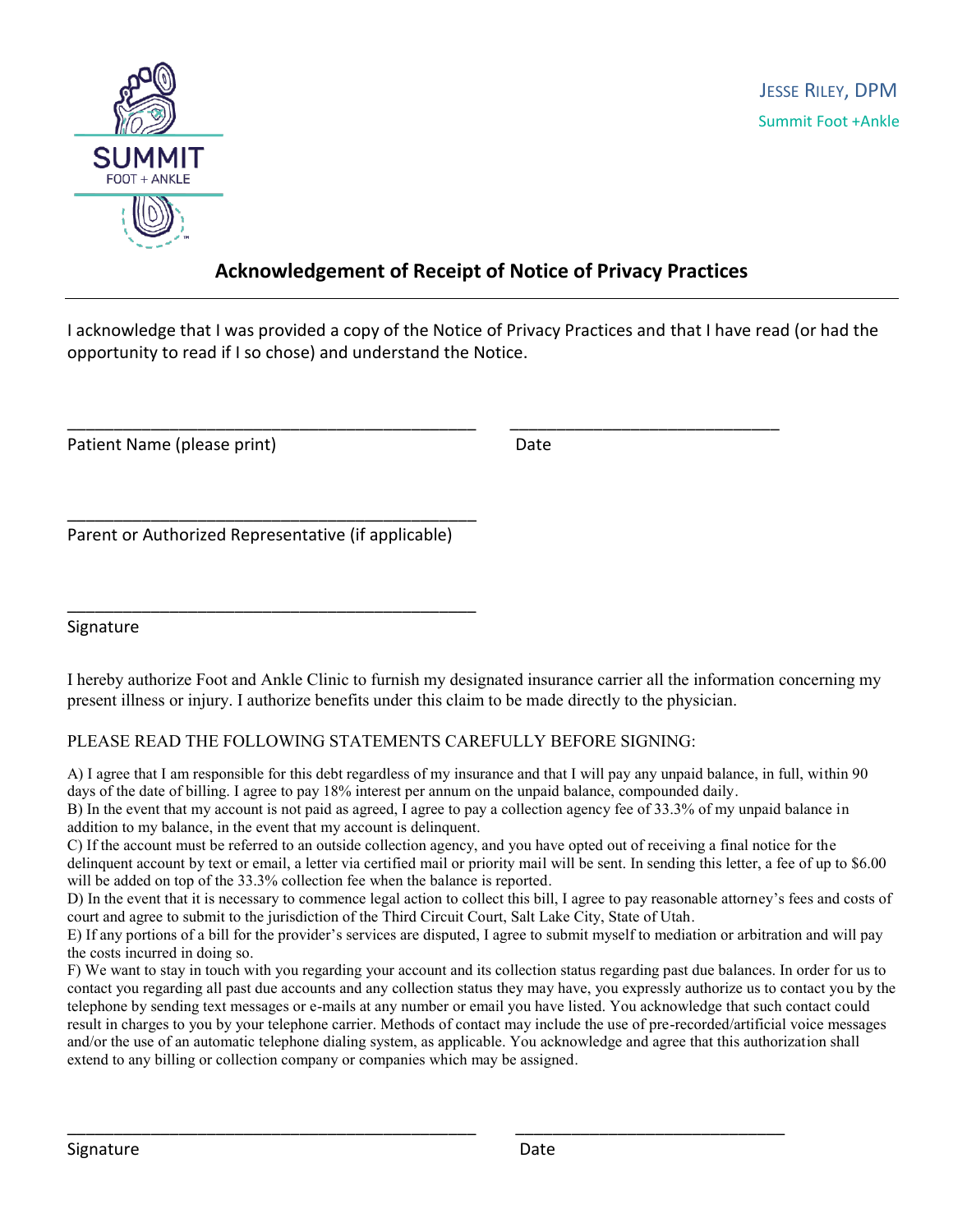

### **Acknowledgement of Receipt of Notice of Privacy Practices**

I acknowledge that I was provided a copy of the Notice of Privacy Practices and that I have read (or had the opportunity to read if I so chose) and understand the Notice.

\_\_\_\_\_\_\_\_\_\_\_\_\_\_\_\_\_\_\_\_\_\_\_\_\_\_\_\_\_\_\_\_\_\_\_\_\_\_\_\_\_\_\_\_ \_\_\_\_\_\_\_\_\_\_\_\_\_\_\_\_\_\_\_\_\_\_\_\_\_\_\_\_\_

Patient Name (please print) Date

\_\_\_\_\_\_\_\_\_\_\_\_\_\_\_\_\_\_\_\_\_\_\_\_\_\_\_\_\_\_\_\_\_\_\_\_\_\_\_\_\_\_\_\_ Parent or Authorized Representative (if applicable)

\_\_\_\_\_\_\_\_\_\_\_\_\_\_\_\_\_\_\_\_\_\_\_\_\_\_\_\_\_\_\_\_\_\_\_\_\_\_\_\_\_\_\_\_

Signature

I hereby authorize Foot and Ankle Clinic to furnish my designated insurance carrier all the information concerning my present illness or injury. I authorize benefits under this claim to be made directly to the physician.

#### PLEASE READ THE FOLLOWING STATEMENTS CAREFULLY BEFORE SIGNING:

A) I agree that I am responsible for this debt regardless of my insurance and that I will pay any unpaid balance, in full, within 90 days of the date of billing. I agree to pay 18% interest per annum on the unpaid balance, compounded daily.

B) In the event that my account is not paid as agreed, I agree to pay a collection agency fee of 33.3% of my unpaid balance in addition to my balance, in the event that my account is delinquent.

C) If the account must be referred to an outside collection agency, and you have opted out of receiving a final notice for the delinquent account by text or email, a letter via certified mail or priority mail will be sent. In sending this letter, a fee of up to \$6.00 will be added on top of the 33.3% collection fee when the balance is reported.

D) In the event that it is necessary to commence legal action to collect this bill, I agree to pay reasonable attorney's fees and costs of court and agree to submit to the jurisdiction of the Third Circuit Court, Salt Lake City, State of Utah.

E) If any portions of a bill for the provider's services are disputed, I agree to submit myself to mediation or arbitration and will pay the costs incurred in doing so.

F) We want to stay in touch with you regarding your account and its collection status regarding past due balances. In order for us to contact you regarding all past due accounts and any collection status they may have, you expressly authorize us to contact you by the telephone by sending text messages or e-mails at any number or email you have listed. You acknowledge that such contact could result in charges to you by your telephone carrier. Methods of contact may include the use of pre-recorded/artificial voice messages and/or the use of an automatic telephone dialing system, as applicable. You acknowledge and agree that this authorization shall extend to any billing or collection company or companies which may be assigned.

\_\_\_\_\_\_\_\_\_\_\_\_\_\_\_\_\_\_\_\_\_\_\_\_\_\_\_\_\_\_\_\_\_\_\_\_\_\_\_\_\_\_\_\_ \_\_\_\_\_\_\_\_\_\_\_\_\_\_\_\_\_\_\_\_\_\_\_\_\_\_\_\_\_